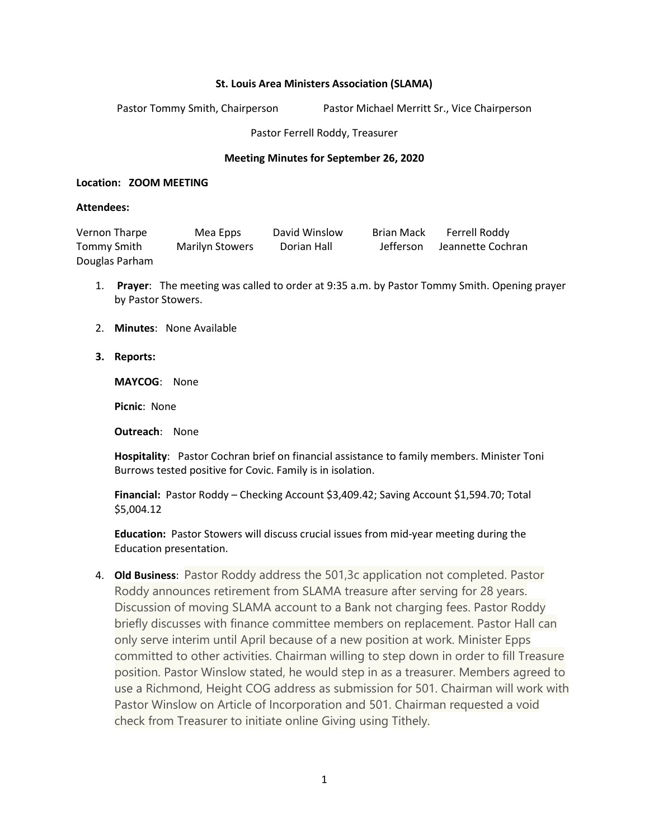## **St. Louis Area Ministers Association (SLAMA)**

Pastor Tommy Smith, Chairperson Pastor Michael Merritt Sr., Vice Chairperson

Pastor Ferrell Roddy, Treasurer

## **Meeting Minutes for September 26, 2020**

## **Location: ZOOM MEETING**

## **Attendees:**

| Vernon Tharpe  | Mea Epps               | David Winslow | Brian Mack | Ferrell Roddy     |
|----------------|------------------------|---------------|------------|-------------------|
| Tommy Smith    | <b>Marilyn Stowers</b> | Dorian Hall   | Jefferson  | Jeannette Cochran |
| Douglas Parham |                        |               |            |                   |

- 1. **Prayer**: The meeting was called to order at 9:35 a.m. by Pastor Tommy Smith. Opening prayer by Pastor Stowers.
- 2. **Minutes**: None Available
- **3. Reports:**

**MAYCOG**: None

**Picnic**: None

**Outreach**: None

**Hospitality**: Pastor Cochran brief on financial assistance to family members. Minister Toni Burrows tested positive for Covic. Family is in isolation.

**Financial:** Pastor Roddy – Checking Account \$3,409.42; Saving Account \$1,594.70; Total \$5,004.12

**Education:** Pastor Stowers will discuss crucial issues from mid-year meeting during the Education presentation.

4. **Old Business**: Pastor Roddy address the 501,3c application not completed. Pastor Roddy announces retirement from SLAMA treasure after serving for 28 years. Discussion of moving SLAMA account to a Bank not charging fees. Pastor Roddy briefly discusses with finance committee members on replacement. Pastor Hall can only serve interim until April because of a new position at work. Minister Epps committed to other activities. Chairman willing to step down in order to fill Treasure position. Pastor Winslow stated, he would step in as a treasurer. Members agreed to use a Richmond, Height COG address as submission for 501. Chairman will work with Pastor Winslow on Article of Incorporation and 501. Chairman requested a void check from Treasurer to initiate online Giving using Tithely.